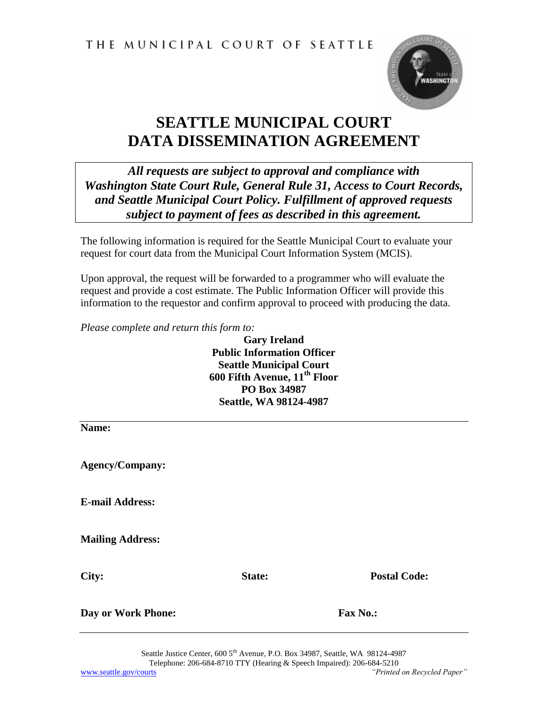THE MUNICIPAL COURT OF SEATTLE



## **SEATTLE MUNICIPAL COURT DATA DISSEMINATION AGREEMENT**

*All requests are subject to approval and compliance with Washington State Court Rule, General Rule 31, Access to Court Records, and Seattle Municipal Court Policy. Fulfillment of approved requests subject to payment of fees as described in this agreement.*

The following information is required for the Seattle Municipal Court to evaluate your request for court data from the Municipal Court Information System (MCIS).

Upon approval, the request will be forwarded to a programmer who will evaluate the request and provide a cost estimate. The Public Information Officer will provide this information to the requestor and confirm approval to proceed with producing the data.

*Please complete and return this form to:*

**Gary Ireland Public Information Officer Seattle Municipal Court 600 Fifth Avenue, 11th Floor PO Box 34987 Seattle, WA 98124-4987**

**Name: Agency/Company: E-mail Address:**

**Mailing Address:**

**City: State: Postal Code:**

**Day or Work Phone: Fax No.:**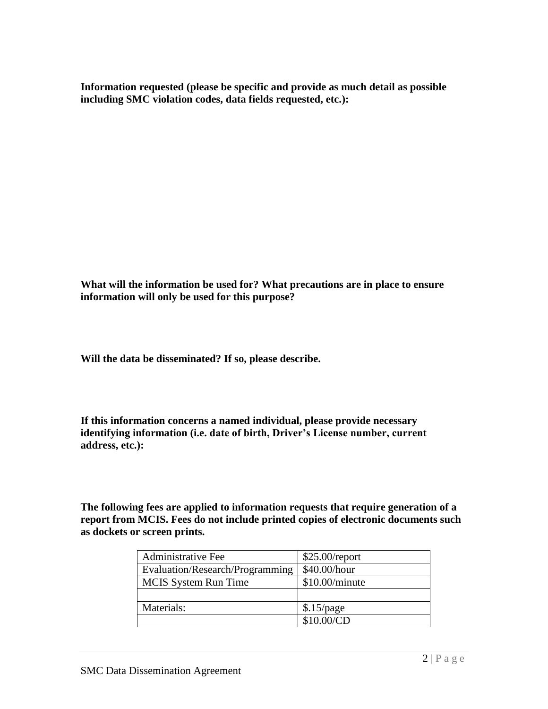**Information requested (please be specific and provide as much detail as possible including SMC violation codes, data fields requested, etc.):**

**What will the information be used for? What precautions are in place to ensure information will only be used for this purpose?**

**Will the data be disseminated? If so, please describe.** 

**If this information concerns a named individual, please provide necessary identifying information (i.e. date of birth, Driver's License number, current address, etc.):**

**The following fees are applied to information requests that require generation of a report from MCIS. Fees do not include printed copies of electronic documents such as dockets or screen prints.**

| <b>Administrative Fee</b>       | $$25.00$ /report |  |
|---------------------------------|------------------|--|
| Evaluation/Research/Programming | \$40.00/hour     |  |
| <b>MCIS</b> System Run Time     | $$10.00/m$ inute |  |
|                                 |                  |  |
| Materials:                      | \$.15/page       |  |
|                                 | \$10.00/CD       |  |